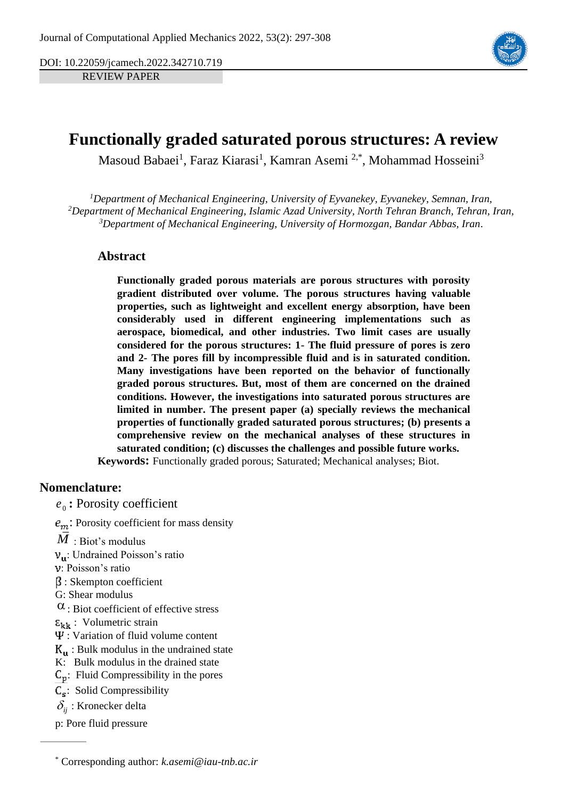DOI: 10.22059/jcamech.2022.342710.719

REVIEW PAPER



# **Functionally graded saturated porous structures: A review**

Masoud Babaei<sup>1</sup>, Faraz Kiarasi<sup>1</sup>, Kamran Asemi<sup>2,\*</sup>, Mohammad Hosseini<sup>3</sup>

*<sup>1</sup>Department of Mechanical Engineering, University of Eyvanekey, Eyvanekey, Semnan, Iran, <sup>2</sup>Department of Mechanical Engineering, Islamic Azad University, North Tehran Branch, Tehran, Iran, <sup>3</sup>Department of Mechanical Engineering, University of Hormozgan, Bandar Abbas, Iran.*

## **Abstract**

**Functionally graded porous materials are porous structures with porosity gradient distributed over volume. The porous structures having valuable properties, such as lightweight and excellent energy absorption, have been considerably used in different engineering implementations such as aerospace, biomedical, and other industries. Two limit cases are usually considered for the porous structures: 1- The fluid pressure of pores is zero and 2- The pores fill by incompressible fluid and is in saturated condition. Many investigations have been reported on the behavior of functionally graded porous structures. But, most of them are concerned on the drained conditions. However, the investigations into saturated porous structures are limited in number. The present paper (a) specially reviews the mechanical properties of functionally graded saturated porous structures; (b) presents a comprehensive review on the mechanical analyses of these structures in saturated condition; (c) discusses the challenges and possible future works. Keywords:** Functionally graded porous; Saturated; Mechanical analyses; Biot.

## **Nomenclature:**

0 *e* **:** Porosity coefficient

 $e_m$ : Porosity coefficient for mass density

- $M$  : Biot's modulus
- : Undrained Poisson's ratio
- : Poisson's ratio
- : Skempton coefficient
- G: Shear modulus
- $\alpha$ : Biot coefficient of effective stress
- $\epsilon_{kk}$ : Volumetric strain
- $\Psi$ : Variation of fluid volume content
- : Bulk modulus in the undrained state
- K: Bulk modulus in the drained state
- $C_p$ : Fluid Compressibility in the pores
- $C_s$ : Solid Compressibility
- $\delta_{ij}$  : Kronecker delta
- p: Pore fluid pressure

<sup>\*</sup> Corresponding author: *k.asemi@iau-tnb.ac.ir*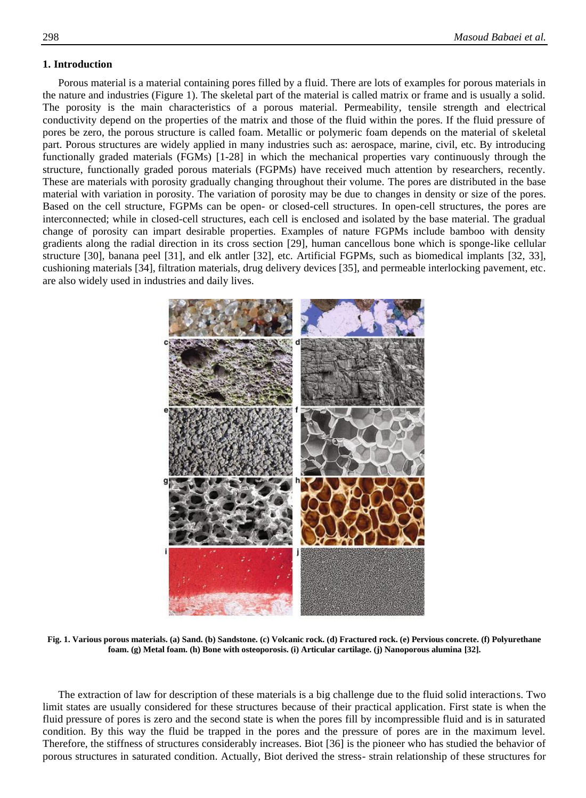### **1. Introduction**

Porous material is a material containing pores filled by a fluid. There are lots of examples for porous materials in the nature and industries (Figure 1). The skeletal part of the material is called matrix or frame and is usually a solid. The porosity is the main characteristics of a porous material. Permeability, tensile strength and electrical conductivity depend on the properties of the matrix and those of the fluid within the pores. If the fluid pressure of pores be zero, the porous structure is called foam. Metallic or polymeric foam depends on the material of skeletal part. Porous structures are widely applied in many industries such as: aerospace, marine, civil, etc. By introducing functionally graded materials (FGMs) [\[1-28\]](#page-7-0) in which the mechanical properties vary continuously through the structure, functionally graded porous materials (FGPMs) have received much attention by researchers, recently. These are materials with porosity gradually changing throughout their volume. The pores are distributed in the base material with variation in porosity. The variation of porosity may be due to changes in density or size of the pores. Based on the cell structure, FGPMs can be open- or closed-cell structures. In open-cell structures, the pores are interconnected; while in closed-cell structures, each cell is enclosed and isolated by the base material. The gradual change of porosity can impart desirable properties. Examples of nature FGPMs include bamboo with density gradients along the radial direction in its cross section [\[29\]](#page-8-0), human cancellous bone which is sponge-like cellular structure [\[30\]](#page-8-1), banana peel [\[31\]](#page-8-2), and elk antler [\[32\]](#page-8-3), etc. Artificial FGPMs, such as biomedical implants [\[32,](#page-8-3) [33\]](#page-8-4), cushioning materials [\[34\]](#page-8-5), filtration materials, drug delivery devices [\[35\]](#page-8-6), and permeable interlocking pavement, etc. are also widely used in industries and daily lives.



**Fig. 1. Various porous materials. (a) Sand. (b) Sandstone. (c) Volcanic rock. (d) Fractured rock. (e) Pervious concrete. (f) Polyurethane foam. (g) Metal foam. (h) Bone with osteoporosis. (i) Articular cartilage. (j) Nanoporous alumina [\[32\]](#page-8-3).**

The extraction of law for description of these materials is a big challenge due to the fluid solid interactions. Two limit states are usually considered for these structures because of their practical application. First state is when the fluid pressure of pores is zero and the second state is when the pores fill by incompressible fluid and is in saturated condition. By this way the fluid be trapped in the pores and the pressure of pores are in the maximum level. Therefore, the stiffness of structures considerably increases. Biot [\[36\]](#page-8-7) is the pioneer who has studied the behavior of porous structures in saturated condition. Actually, Biot derived the stress- strain relationship of these structures for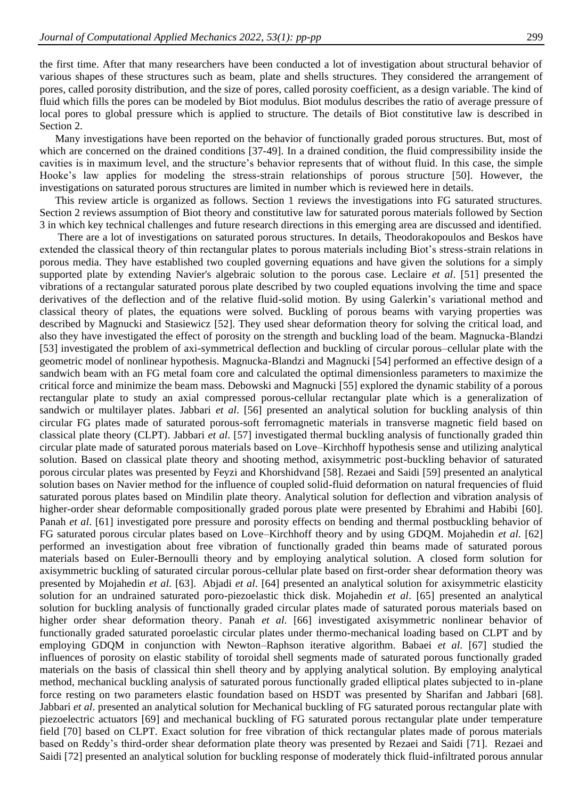the first time. After that many researchers have been conducted a lot of investigation about structural behavior of various shapes of these structures such as beam, plate and shells structures. They considered the arrangement of pores, called porosity distribution, and the size of pores, called porosity coefficient, as a design variable. The kind of fluid which fills the pores can be modeled by Biot modulus. Biot modulus describes the ratio of average pressure of local pores to global pressure which is applied to structure. The details of Biot constitutive law is described in Section 2.

Many investigations have been reported on the behavior of functionally graded porous structures. But, most of which are concerned on the drained conditions [\[37-49\]](#page-8-8). In a drained condition, the fluid compressibility inside the cavities is in maximum level, and the structure's behavior represents that of without fluid. In this case, the simple Hooke's law applies for modeling the stress-strain relationships of porous structure [\[50\]](#page-9-0). However, the investigations on saturated porous structures are limited in number which is reviewed here in details.

This review article is organized as follows. Section 1 reviews the investigations into FG saturated structures. Section 2 reviews assumption of Biot theory and constitutive law for saturated porous materials followed by Section 3 in which key technical challenges and future research directions in this emerging area are discussed and identified.

There are a lot of investigations on saturated porous structures. In details, Theodorakopoulos and Beskos have extended the classical theory of thin rectangular plates to porous materials including Biot's stress-strain relations in porous media. They have established two coupled governing equations and have given the solutions for a simply supported plate by extending Navier's algebraic solution to the porous case. Leclaire *et al*. [\[51\]](#page-9-1) presented the vibrations of a rectangular saturated porous plate described by two coupled equations involving the time and space derivatives of the deflection and of the relative fluid-solid motion. By using Galerkin's variational method and classical theory of plates, the equations were solved. Buckling of porous beams with varying properties was described by Magnucki and Stasiewicz [\[52\]](#page-9-2). They used shear deformation theory for solving the critical load, and also they have investigated the effect of porosity on the strength and buckling load of the beam. Magnucka-Blandzi [\[53\]](#page-9-3) investigated the problem of axi-symmetrical deflection and buckling of circular porous–cellular plate with the geometric model of nonlinear hypothesis. Magnucka-Blandzi and Magnucki [\[54\]](#page-9-4) performed an effective design of a sandwich beam with an FG metal foam core and calculated the optimal dimensionless parameters to maximize the critical force and minimize the beam mass. Debowski and Magnucki [\[55\]](#page-9-5) explored the dynamic stability of a porous rectangular plate to study an axial compressed porous-cellular rectangular plate which is a generalization of sandwich or multilayer plates. Jabbari *et al*. [\[56\]](#page-9-6) presented an analytical solution for buckling analysis of thin circular FG plates made of saturated porous-soft ferromagnetic materials in transverse magnetic field based on classical plate theory (CLPT). Jabbari *et al*. [\[57\]](#page-9-7) investigated thermal buckling analysis of functionally graded thin circular plate made of saturated porous materials based on Love–Kirchhoff hypothesis sense and utilizing analytical solution. Based on classical plate theory and shooting method, axisymmetric post-buckling behavior of saturated porous circular plates was presented by Feyzi and Khorshidvand [\[58\]](#page-9-8). Rezaei and Saidi [\[59\]](#page-9-9) presented an analytical solution bases on Navier method for the influence of coupled solid-fluid deformation on natural frequencies of fluid saturated porous plates based on Mindilin plate theory. Analytical solution for deflection and vibration analysis of higher-order shear deformable compositionally graded porous plate were presented by Ebrahimi and Habibi [\[60\]](#page-9-10). Panah *et al*. [\[61\]](#page-9-11) investigated pore pressure and porosity effects on bending and thermal postbuckling behavior of FG saturated porous circular plates based on Love–Kirchhoff theory and by using GDQM. Mojahedin *et al*. [\[62\]](#page-9-12) performed an investigation about free vibration of functionally graded thin beams made of saturated porous materials based on Euler-Bernoulli theory and by employing analytical solution. A closed form solution for axisymmetric buckling of saturated circular porous-cellular plate based on first-order shear deformation theory was presented by Mojahedin *et al*. [\[63\]](#page-9-13). Abjadi *et al*. [\[64\]](#page-9-14) presented an analytical solution for axisymmetric elasticity solution for an undrained saturated poro-piezoelastic thick disk. Mojahedin *et al*. [\[65\]](#page-9-15) presented an analytical solution for buckling analysis of functionally graded circular plates made of saturated porous materials based on higher order shear deformation theory. Panah *et al*. [\[66\]](#page-10-0) investigated axisymmetric nonlinear behavior of functionally graded saturated poroelastic circular plates under thermo-mechanical loading based on CLPT and by employing GDQM in conjunction with Newton–Raphson iterative algorithm. Babaei *et al*. [\[67\]](#page-10-1) studied the influences of porosity on elastic stability of toroidal shell segments made of saturated porous functionally graded materials on the basis of classical thin shell theory and by applying analytical solution. By employing analytical method, mechanical buckling analysis of saturated porous functionally graded elliptical plates subjected to in-plane force resting on two parameters elastic foundation based on HSDT was presented by Sharifan and Jabbari [\[68\]](#page-10-2). Jabbari *et al*. presented an analytical solution for Mechanical buckling of FG saturated porous rectangular plate with piezoelectric actuators [\[69\]](#page-10-3) and mechanical buckling of FG saturated porous rectangular plate under temperature field [\[70\]](#page-10-4) based on CLPT. Exact solution for free vibration of thick rectangular plates made of porous materials based on Reddy's third-order shear deformation plate theory was presented by Rezaei and Saidi [\[71\]](#page-10-5). Rezaei and Saidi [\[72\]](#page-10-6) presented an analytical solution for buckling response of moderately thick fluid-infiltrated porous annular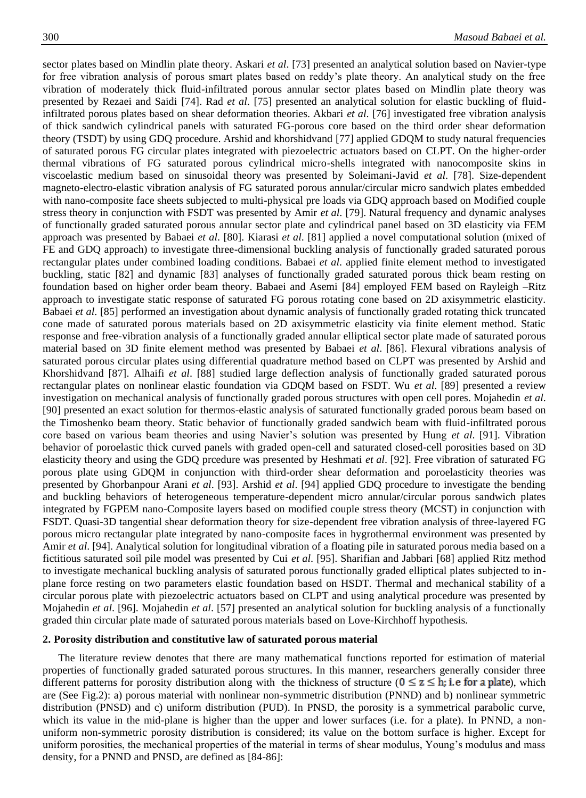sector plates based on Mindlin plate theory. Askari *et al*. [\[73\]](#page-10-7) presented an analytical solution based on Navier-type for free vibration analysis of porous smart plates based on reddy's plate theory. An analytical study on the free vibration of moderately thick fluid-infiltrated porous annular sector plates based on Mindlin plate theory was presented by Rezaei and Saidi [\[74\]](#page-10-8). Rad *et al*. [\[75\]](#page-10-9) presented an analytical solution for elastic buckling of fluidinfiltrated porous plates based on shear deformation theories. Akbari *et al*. [\[76\]](#page-10-10) investigated free vibration analysis of thick sandwich cylindrical panels with saturated FG-porous core based on the third order shear deformation theory (TSDT) by using GDQ procedure. Arshid and khorshidvand [\[77\]](#page-10-11) applied GDQM to study natural frequencies of saturated porous FG circular plates integrated with piezoelectric actuators based on CLPT. On the higher-order thermal vibrations of FG saturated porous cylindrical micro-shells integrated with nanocomposite skins in viscoelastic medium based on sinusoidal theory was presented by Soleimani-Javid *et al*. [\[78\]](#page-10-12). Size-dependent magneto-electro-elastic vibration analysis of FG saturated porous annular/circular micro sandwich plates embedded with nano-composite face sheets subjected to multi-physical pre loads via GDQ approach based on Modified couple stress theory in conjunction with FSDT was presented by Amir *et al*. [\[79\]](#page-10-13). Natural frequency and dynamic analyses of functionally graded saturated porous annular sector plate and cylindrical panel based on 3D elasticity via FEM approach was presented by Babaei *et al*. [\[80\]](#page-10-14). Kiarasi *et al*. [\[81\]](#page-10-15) applied a novel computational solution (mixed of FE and GDQ approach) to investigate three-dimensional buckling analysis of functionally graded saturated porous rectangular plates under combined loading conditions. Babaei *et al*. applied finite element method to investigated buckling, static [\[82\]](#page-10-16) and dynamic [\[83\]](#page-10-17) analyses of functionally graded saturated porous thick beam resting on foundation based on higher order beam theory. Babaei and Asemi [\[84\]](#page-10-18) employed FEM based on Rayleigh –Ritz approach to investigate static response of saturated FG porous rotating cone based on 2D axisymmetric elasticity. Babaei *et al*. [\[85\]](#page-10-19) performed an investigation about dynamic analysis of functionally graded rotating thick truncated cone made of saturated porous materials based on 2D axisymmetric elasticity via finite element method. Static response and free-vibration analysis of a functionally graded annular elliptical sector plate made of saturated porous material based on 3D finite element method was presented by Babaei *et al*. [\[86\]](#page-11-0). Flexural vibrations analysis of saturated porous circular plates using differential quadrature method based on CLPT was presented by Arshid and Khorshidvand [\[87\]](#page-11-1). Alhaifi *et al*. [\[88\]](#page-11-2) studied large deflection analysis of functionally graded saturated porous rectangular plates on nonlinear elastic foundation via GDQM based on FSDT. Wu *et al*. [\[89\]](#page-11-3) presented a review investigation on mechanical analysis of functionally graded porous structures with open cell pores. Mojahedin *et al*. [\[90\]](#page-11-4) presented an exact solution for thermos-elastic analysis of saturated functionally graded porous beam based on the Timoshenko beam theory. Static behavior of functionally graded sandwich beam with fluid-infiltrated porous core based on various beam theories and using Navier's solution was presented by Hung *et al*. [\[91\]](#page-11-5). Vibration behavior of poroelastic thick curved panels with graded open-cell and saturated closed-cell porosities based on 3D elasticity theory and using the GDQ prcedure was presented by Heshmati *et al*. [\[92\]](#page-11-6). Free vibration of saturated FG porous plate using GDQM in conjunction with third-order shear deformation and poroelasticity theories was presented by Ghorbanpour Arani *et al*. [\[93\]](#page-11-7). Arshid *et al*. [\[94\]](#page-11-8) applied GDQ procedure to investigate the bending and buckling behaviors of heterogeneous temperature-dependent micro annular/circular porous sandwich plates integrated by FGPEM nano-Composite layers based on modified couple stress theory (MCST) in conjunction with FSDT. Quasi-3D tangential shear deformation theory for size-dependent free vibration analysis of three-layered FG porous micro rectangular plate integrated by nano-composite faces in hygrothermal environment was presented by Amir *et al*. [\[94\]](#page-11-8). Analytical solution for longitudinal vibration of a floating pile in saturated porous media based on a fictitious saturated soil pile model was presented by Cui *et al*. [\[95\]](#page-11-9). Sharifian and Jabbari [\[68\]](#page-10-2) applied Ritz method to investigate mechanical buckling analysis of saturated porous functionally graded elliptical plates subjected to inplane force resting on two parameters elastic foundation based on HSDT. Thermal and mechanical stability of a circular porous plate with piezoelectric actuators based on CLPT and using analytical procedure was presented by Mojahedin *et al*. [\[96\]](#page-11-10). Mojahedin *et al*. [\[57\]](#page-9-7) presented an analytical solution for buckling analysis of a functionally graded thin circular plate made of saturated porous materials based on Love-Kirchhoff hypothesis.

#### **2. Porosity distribution and constitutive law of saturated porous material**

The literature review denotes that there are many mathematical functions reported for estimation of material properties of functionally graded saturated porous structures. In this manner, researchers generally consider three different patterns for porosity distribution along with the thickness of structure ( $0 \le z \le h$ ; i.e for a plate), which are (See Fig.2): a) porous material with nonlinear non-symmetric distribution (PNND) and b) nonlinear symmetric distribution (PNSD) and c) uniform distribution (PUD). In PNSD, the porosity is a symmetrical parabolic curve, which its value in the mid-plane is higher than the upper and lower surfaces (i.e. for a plate). In PNND, a nonuniform non-symmetric porosity distribution is considered; its value on the bottom surface is higher. Except for uniform porosities, the mechanical properties of the material in terms of shear modulus, Young's modulus and mass density, for a PNND and PNSD, are defined as [\[84-86\]](#page-10-18):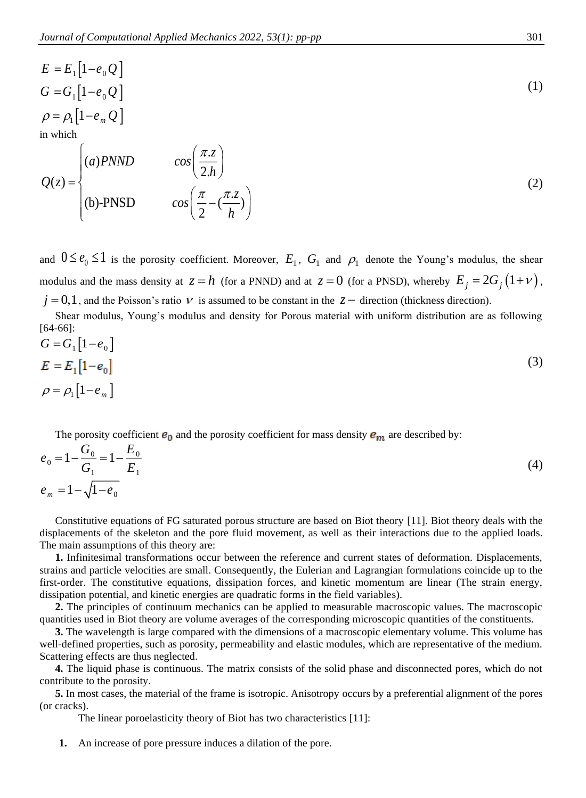$$
E = E_1 [1 - e_0 Q]
$$
  
\n
$$
G = G_1 [1 - e_0 Q]
$$
  
\n
$$
\rho = \rho_1 [1 - e_m Q]
$$
  
\nin which  
\n
$$
(a) PNND \qquad \cos\left(\frac{\pi z}{2L}\right)
$$
\n(1)

$$
Q(z) = \begin{cases} (a) \text{PNND} & \cos\left(\frac{\pi z}{2h}\right) \\ (b) \text{-PNSD} & \cos\left(\frac{\pi}{2} - \left(\frac{\pi z}{h}\right)\right) \end{cases}
$$
 (2)

and  $0 \le e_0 \le 1$  is the porosity coefficient. Moreover,  $E_1$ ,  $G_1$  and  $\rho_1$  denote the Young's modulus, the shear modulus and the mass density at  $z = h$  (for a PNND) and at  $z = 0$  (for a PNSD), whereby  $E_j = 2G_j(1 + \nu)$ ,  $j = 0, 1$ , and the Poisson's ratio  $\nu$  is assumed to be constant in the  $z -$  direction (thickness direction).

Shear modulus, Young's modulus and density for Porous material with uniform distribution are as following [\[64-66\]](#page-9-14):

$$
G = G_1 [1 - e_0]
$$
  
\n
$$
E = E_1 [1 - e_0]
$$
  
\n
$$
\rho = \rho_1 [1 - e_m]
$$
\n(3)

The porosity coefficient  $e_0$  and the porosity coefficient for mass density  $e_m$  are described by:

$$
e_0 = 1 - \frac{G_0}{G_1} = 1 - \frac{E_0}{E_1}
$$
  
\n
$$
e_m = 1 - \sqrt{1 - e_0}
$$
\n(4)

Constitutive equations of FG saturated porous structure are based on Biot theory [\[11\]](#page-7-1). Biot theory deals with the displacements of the skeleton and the pore fluid movement, as well as their interactions due to the applied loads. The main assumptions of this theory are:

**1.** Infinitesimal transformations occur between the reference and current states of deformation. Displacements, strains and particle velocities are small. Consequently, the Eulerian and Lagrangian formulations coincide up to the first-order. The constitutive equations, dissipation forces, and kinetic momentum are linear (The strain energy, dissipation potential, and kinetic energies are quadratic forms in the field variables).

**2.** The principles of continuum mechanics can be applied to measurable macroscopic values. The macroscopic quantities used in Biot theory are volume averages of the corresponding microscopic quantities of the constituents.

**3.** The wavelength is large compared with the dimensions of a macroscopic elementary volume. This volume has well-defined properties, such as porosity, permeability and elastic modules, which are representative of the medium. Scattering effects are thus neglected.

**4.** The liquid phase is continuous. The matrix consists of the solid phase and disconnected pores, which do not contribute to the porosity.

**5.** In most cases, the material of the frame is isotropic. Anisotropy occurs by a preferential alignment of the pores (or cracks).

The linear poroelasticity theory of Biot has two characteristics [\[11\]](#page-7-1):

**1.** An increase of pore pressure induces a dilation of the pore.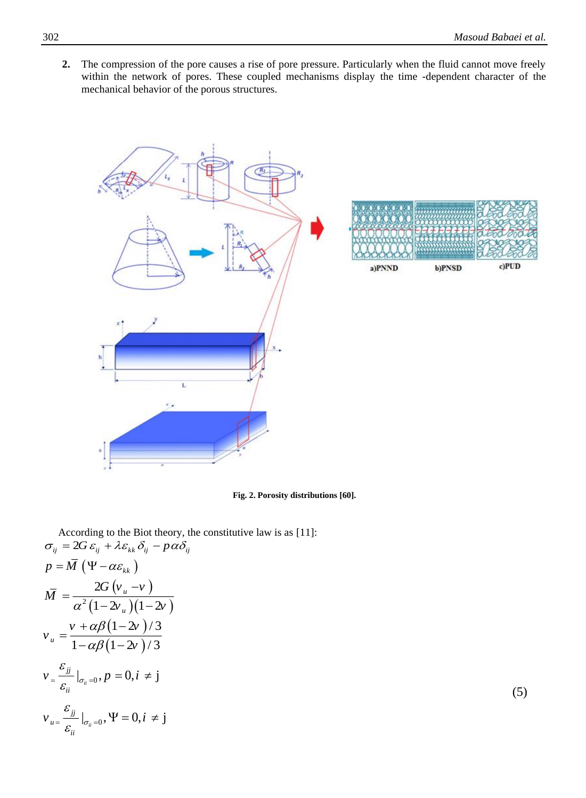**2.** The compression of the pore causes a rise of pore pressure. Particularly when the fluid cannot move freely within the network of pores. These coupled mechanisms display the time -dependent character of the mechanical behavior of the porous structures.



**Fig. 2. Porosity distributions [\[60\]](#page-9-10).**

According to the Biot theory, the constitutive law is as [\[11\]](#page-7-1):  $\sigma_{ij} = 2G \varepsilon_{ij} + \lambda \varepsilon_{kk} \delta_{ij} - p \alpha \delta_{ij}$  $p = \overline{M}$  ( $\Psi - \alpha \varepsilon_{kk}$ )  $(v_u - v)$  $^{2}(1-2v_{u})(1-2v)$ 2  $1 - 2v$   $1 - 2$ *u u G* ( $v -v$ *M*  $\alpha$ <sup>-</sup> $(1 - 2\nu)$   $(1 - 2\nu)$  $=\frac{20 (v_u - v_f)}{\alpha^2 (1 - 2v_e)(1 - v_f)}$  $(1-2\nu)$  $(1-2\nu)$  $1 - 2v$  )/3  $^{u}$  1 -  $\alpha\beta(1-2v)/3$  $v + \alpha \beta$   $(1 - 2\nu)$ *v v*  $\alpha\beta$  $\alpha\beta$  $=\frac{v + \alpha\beta(1-\alpha)}{1-\alpha\beta(1-\alpha)}$  $\big|_{\sigma_{ii}=0}, p=0, i \neq j$ *jj ii*  $v_{{}}\frac{\mathcal{E}_{jj}}{\mathcal{E}_{}}\big|_{\sigma_{ii}=0},p=0,i$  $=\frac{w}{\mathcal{E}_{ii}}\big|_{\sigma_{ii}=0}, p=0, i\neq i$  (5)  $\big|_{\sigma_{ii}=0}, \Psi=0, i \neq j$  $u = \frac{c_{jj}}{a_{jj}}$ *ii*  $v_{u} = \frac{\mathcal{E}_{jj}}{\varepsilon_{u} = 0}$ ,  $\Psi = 0, i$  $=\frac{\mathbb{Z}}{\mathcal{E}_{\mathbb{Z}}}\big|_{\sigma_{ii}=0}, \Psi=0, i\,\neq i$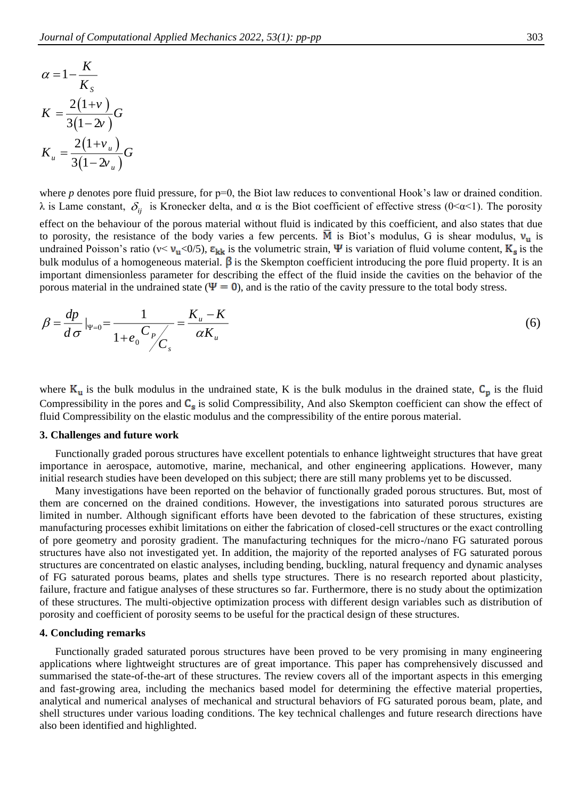$$
\alpha = 1 - \frac{K}{K_s}
$$
  
\n
$$
K = \frac{2(1+v)}{3(1-2v)}G
$$
  
\n
$$
K_u = \frac{2(1+v_u)}{3(1-2v_u)}G
$$

where *p* denotes pore fluid pressure, for p=0, the Biot law reduces to conventional Hook's law or drained condition. λ is Lame constant,  $\delta_{ij}$  is Kronecker delta, and α is the Biot coefficient of effective stress (0<α<1). The porosity effect on the behaviour of the porous material without fluid is indicated by this coefficient, and also states that due to porosity, the resistance of the body varies a few percents.  $\overline{M}$  is Biot's modulus, G is shear modulus,  $v_u$  is undrained Poisson's ratio ( $v \le v_u \le 0/5$ ),  $\varepsilon_{kk}$  is the volumetric strain,  $\Psi$  is variation of fluid volume content,  $K_s$  is the bulk modulus of a homogeneous material.  $\beta$  is the Skempton coefficient introducing the pore fluid property. It is an important dimensionless parameter for describing the effect of the fluid inside the cavities on the behavior of the porous material in the undrained state ( $\Psi = 0$ ), and is the ratio of the cavity pressure to the total body stress.

$$
\beta = \frac{dp}{d\sigma}|_{\Psi=0} = \frac{1}{1 + e_0} \frac{C_p}{C_s} = \frac{K_u - K}{\alpha K_u}
$$
\n(6)

where  $K_u$  is the bulk modulus in the undrained state, K is the bulk modulus in the drained state,  $C_p$  is the fluid Compressibility in the pores and  $C_s$  is solid Compressibility, And also Skempton coefficient can show the effect of fluid Compressibility on the elastic modulus and the compressibility of the entire porous material.

#### **3. Challenges and future work**

Functionally graded porous structures have excellent potentials to enhance lightweight structures that have great importance in aerospace, automotive, marine, mechanical, and other engineering applications. However, many initial research studies have been developed on this subject; there are still many problems yet to be discussed.

Many investigations have been reported on the behavior of functionally graded porous structures. But, most of them are concerned on the drained conditions. However, the investigations into saturated porous structures are limited in number. Although significant efforts have been devoted to the fabrication of these structures, existing manufacturing processes exhibit limitations on either the fabrication of closed-cell structures or the exact controlling of pore geometry and porosity gradient. The manufacturing techniques for the micro-/nano FG saturated porous structures have also not investigated yet. In addition, the majority of the reported analyses of FG saturated porous structures are concentrated on elastic analyses, including bending, buckling, natural frequency and dynamic analyses of FG saturated porous beams, plates and shells type structures. There is no research reported about plasticity, failure, fracture and fatigue analyses of these structures so far. Furthermore, there is no study about the optimization of these structures. The multi-objective optimization process with different design variables such as distribution of porosity and coefficient of porosity seems to be useful for the practical design of these structures.

#### **4. Concluding remarks**

Functionally graded saturated porous structures have been proved to be very promising in many engineering applications where lightweight structures are of great importance. This paper has comprehensively discussed and summarised the state-of-the-art of these structures. The review covers all of the important aspects in this emerging and fast-growing area, including the mechanics based model for determining the effective material properties, analytical and numerical analyses of mechanical and structural behaviors of FG saturated porous beam, plate, and shell structures under various loading conditions. The key technical challenges and future research directions have also been identified and highlighted.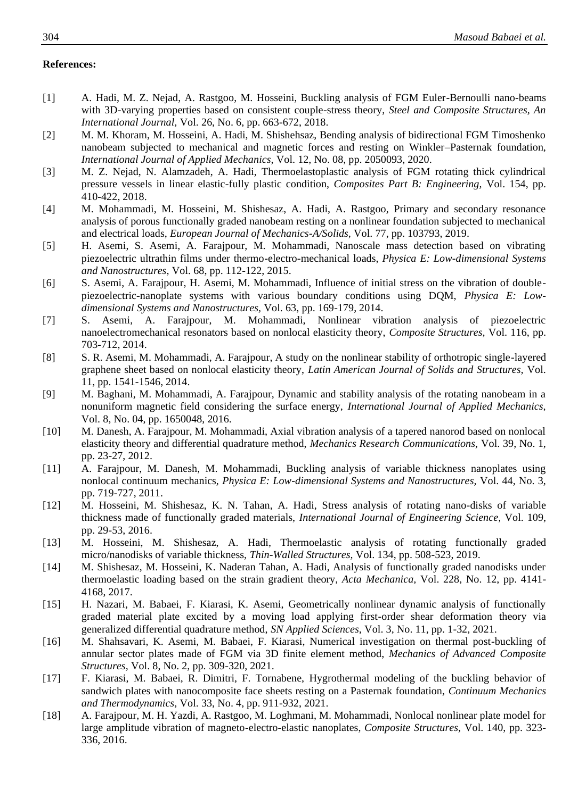#### **References:**

- <span id="page-7-0"></span>[1] A. Hadi, M. Z. Nejad, A. Rastgoo, M. Hosseini, Buckling analysis of FGM Euler-Bernoulli nano-beams with 3D-varying properties based on consistent couple-stress theory, *Steel and Composite Structures, An International Journal,* Vol. 26, No. 6, pp. 663-672, 2018.
- [2] M. M. Khoram, M. Hosseini, A. Hadi, M. Shishehsaz, Bending analysis of bidirectional FGM Timoshenko nanobeam subjected to mechanical and magnetic forces and resting on Winkler–Pasternak foundation, *International Journal of Applied Mechanics,* Vol. 12, No. 08, pp. 2050093, 2020.
- [3] M. Z. Nejad, N. Alamzadeh, A. Hadi, Thermoelastoplastic analysis of FGM rotating thick cylindrical pressure vessels in linear elastic-fully plastic condition, *Composites Part B: Engineering,* Vol. 154, pp. 410-422, 2018.
- [4] M. Mohammadi, M. Hosseini, M. Shishesaz, A. Hadi, A. Rastgoo, Primary and secondary resonance analysis of porous functionally graded nanobeam resting on a nonlinear foundation subjected to mechanical and electrical loads, *European Journal of Mechanics-A/Solids,* Vol. 77, pp. 103793, 2019.
- [5] H. Asemi, S. Asemi, A. Farajpour, M. Mohammadi, Nanoscale mass detection based on vibrating piezoelectric ultrathin films under thermo-electro-mechanical loads, *Physica E: Low-dimensional Systems and Nanostructures,* Vol. 68, pp. 112-122, 2015.
- [6] S. Asemi, A. Farajpour, H. Asemi, M. Mohammadi, Influence of initial stress on the vibration of doublepiezoelectric-nanoplate systems with various boundary conditions using DQM, *Physica E: Lowdimensional Systems and Nanostructures,* Vol. 63, pp. 169-179, 2014.
- [7] S. Asemi, A. Farajpour, M. Mohammadi, Nonlinear vibration analysis of piezoelectric nanoelectromechanical resonators based on nonlocal elasticity theory, *Composite Structures,* Vol. 116, pp. 703-712, 2014.
- [8] S. R. Asemi, M. Mohammadi, A. Farajpour, A study on the nonlinear stability of orthotropic single-layered graphene sheet based on nonlocal elasticity theory, *Latin American Journal of Solids and Structures,* Vol. 11, pp. 1541-1546, 2014.
- [9] M. Baghani, M. Mohammadi, A. Farajpour, Dynamic and stability analysis of the rotating nanobeam in a nonuniform magnetic field considering the surface energy, *International Journal of Applied Mechanics,* Vol. 8, No. 04, pp. 1650048, 2016.
- [10] M. Danesh, A. Farajpour, M. Mohammadi, Axial vibration analysis of a tapered nanorod based on nonlocal elasticity theory and differential quadrature method, *Mechanics Research Communications,* Vol. 39, No. 1, pp. 23-27, 2012.
- <span id="page-7-1"></span>[11] A. Farajpour, M. Danesh, M. Mohammadi, Buckling analysis of variable thickness nanoplates using nonlocal continuum mechanics, *Physica E: Low-dimensional Systems and Nanostructures,* Vol. 44, No. 3, pp. 719-727, 2011.
- [12] M. Hosseini, M. Shishesaz, K. N. Tahan, A. Hadi, Stress analysis of rotating nano-disks of variable thickness made of functionally graded materials, *International Journal of Engineering Science,* Vol. 109, pp. 29-53, 2016.
- [13] M. Hosseini, M. Shishesaz, A. Hadi, Thermoelastic analysis of rotating functionally graded micro/nanodisks of variable thickness, *Thin-Walled Structures,* Vol. 134, pp. 508-523, 2019.
- [14] M. Shishesaz, M. Hosseini, K. Naderan Tahan, A. Hadi, Analysis of functionally graded nanodisks under thermoelastic loading based on the strain gradient theory, *Acta Mechanica,* Vol. 228, No. 12, pp. 4141- 4168, 2017.
- [15] H. Nazari, M. Babaei, F. Kiarasi, K. Asemi, Geometrically nonlinear dynamic analysis of functionally graded material plate excited by a moving load applying first-order shear deformation theory via generalized differential quadrature method, *SN Applied Sciences,* Vol. 3, No. 11, pp. 1-32, 2021.
- [16] M. Shahsavari, K. Asemi, M. Babaei, F. Kiarasi, Numerical investigation on thermal post-buckling of annular sector plates made of FGM via 3D finite element method, *Mechanics of Advanced Composite Structures,* Vol. 8, No. 2, pp. 309-320, 2021.
- [17] F. Kiarasi, M. Babaei, R. Dimitri, F. Tornabene, Hygrothermal modeling of the buckling behavior of sandwich plates with nanocomposite face sheets resting on a Pasternak foundation, *Continuum Mechanics and Thermodynamics,* Vol. 33, No. 4, pp. 911-932, 2021.
- [18] A. Farajpour, M. H. Yazdi, A. Rastgoo, M. Loghmani, M. Mohammadi, Nonlocal nonlinear plate model for large amplitude vibration of magneto-electro-elastic nanoplates, *Composite Structures,* Vol. 140, pp. 323- 336, 2016.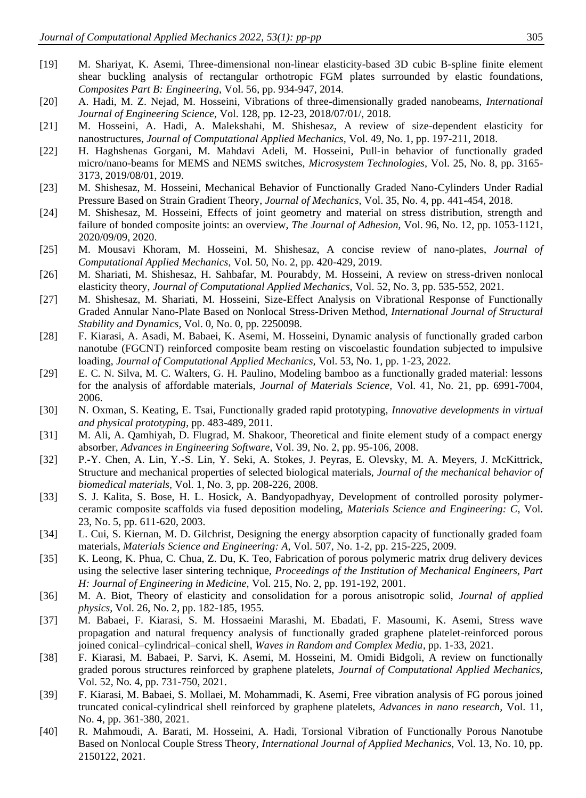- [19] M. Shariyat, K. Asemi, Three-dimensional non-linear elasticity-based 3D cubic B-spline finite element shear buckling analysis of rectangular orthotropic FGM plates surrounded by elastic foundations, *Composites Part B: Engineering,* Vol. 56, pp. 934-947, 2014.
- [20] A. Hadi, M. Z. Nejad, M. Hosseini, Vibrations of three-dimensionally graded nanobeams, *International Journal of Engineering Science,* Vol. 128, pp. 12-23, 2018/07/01/, 2018.
- [21] M. Hosseini, A. Hadi, A. Malekshahi, M. Shishesaz, A review of size-dependent elasticity for nanostructures, *Journal of Computational Applied Mechanics,* Vol. 49, No. 1, pp. 197-211, 2018.
- [22] H. Haghshenas Gorgani, M. Mahdavi Adeli, M. Hosseini, Pull-in behavior of functionally graded micro/nano-beams for MEMS and NEMS switches, *Microsystem Technologies,* Vol. 25, No. 8, pp. 3165- 3173, 2019/08/01, 2019.
- [23] M. Shishesaz, M. Hosseini, Mechanical Behavior of Functionally Graded Nano-Cylinders Under Radial Pressure Based on Strain Gradient Theory, *Journal of Mechanics,* Vol. 35, No. 4, pp. 441-454, 2018.
- [24] M. Shishesaz, M. Hosseini, Effects of joint geometry and material on stress distribution, strength and failure of bonded composite joints: an overview, *The Journal of Adhesion,* Vol. 96, No. 12, pp. 1053-1121, 2020/09/09, 2020.
- [25] M. Mousavi Khoram, M. Hosseini, M. Shishesaz, A concise review of nano-plates, *Journal of Computational Applied Mechanics,* Vol. 50, No. 2, pp. 420-429, 2019.
- [26] M. Shariati, M. Shishesaz, H. Sahbafar, M. Pourabdy, M. Hosseini, A review on stress-driven nonlocal elasticity theory, *Journal of Computational Applied Mechanics,* Vol. 52, No. 3, pp. 535-552, 2021.
- [27] M. Shishesaz, M. Shariati, M. Hosseini, Size-Effect Analysis on Vibrational Response of Functionally Graded Annular Nano-Plate Based on Nonlocal Stress-Driven Method, *International Journal of Structural Stability and Dynamics,* Vol. 0, No. 0, pp. 2250098.
- [28] F. Kiarasi, A. Asadi, M. Babaei, K. Asemi, M. Hosseini, Dynamic analysis of functionally graded carbon nanotube (FGCNT) reinforced composite beam resting on viscoelastic foundation subjected to impulsive loading, *Journal of Computational Applied Mechanics,* Vol. 53, No. 1, pp. 1-23, 2022.
- <span id="page-8-0"></span>[29] E. C. N. Silva, M. C. Walters, G. H. Paulino, Modeling bamboo as a functionally graded material: lessons for the analysis of affordable materials, *Journal of Materials Science,* Vol. 41, No. 21, pp. 6991-7004, 2006.
- <span id="page-8-1"></span>[30] N. Oxman, S. Keating, E. Tsai, Functionally graded rapid prototyping, *Innovative developments in virtual and physical prototyping*, pp. 483-489, 2011.
- <span id="page-8-2"></span>[31] M. Ali, A. Qamhiyah, D. Flugrad, M. Shakoor, Theoretical and finite element study of a compact energy absorber, *Advances in Engineering Software,* Vol. 39, No. 2, pp. 95-106, 2008.
- <span id="page-8-3"></span>[32] P.-Y. Chen, A. Lin, Y.-S. Lin, Y. Seki, A. Stokes, J. Peyras, E. Olevsky, M. A. Meyers, J. McKittrick, Structure and mechanical properties of selected biological materials, *Journal of the mechanical behavior of biomedical materials,* Vol. 1, No. 3, pp. 208-226, 2008.
- <span id="page-8-4"></span>[33] S. J. Kalita, S. Bose, H. L. Hosick, A. Bandyopadhyay, Development of controlled porosity polymerceramic composite scaffolds via fused deposition modeling, *Materials Science and Engineering: C,* Vol. 23, No. 5, pp. 611-620, 2003.
- <span id="page-8-5"></span>[34] L. Cui, S. Kiernan, M. D. Gilchrist, Designing the energy absorption capacity of functionally graded foam materials, *Materials Science and Engineering: A,* Vol. 507, No. 1-2, pp. 215-225, 2009.
- <span id="page-8-6"></span>[35] K. Leong, K. Phua, C. Chua, Z. Du, K. Teo, Fabrication of porous polymeric matrix drug delivery devices using the selective laser sintering technique, *Proceedings of the Institution of Mechanical Engineers, Part H: Journal of Engineering in Medicine,* Vol. 215, No. 2, pp. 191-192, 2001.
- <span id="page-8-7"></span>[36] M. A. Biot, Theory of elasticity and consolidation for a porous anisotropic solid, *Journal of applied physics,* Vol. 26, No. 2, pp. 182-185, 1955.
- <span id="page-8-8"></span>[37] M. Babaei, F. Kiarasi, S. M. Hossaeini Marashi, M. Ebadati, F. Masoumi, K. Asemi, Stress wave propagation and natural frequency analysis of functionally graded graphene platelet-reinforced porous joined conical–cylindrical–conical shell, *Waves in Random and Complex Media*, pp. 1-33, 2021.
- [38] F. Kiarasi, M. Babaei, P. Sarvi, K. Asemi, M. Hosseini, M. Omidi Bidgoli, A review on functionally graded porous structures reinforced by graphene platelets, *Journal of Computational Applied Mechanics,* Vol. 52, No. 4, pp. 731-750, 2021.
- [39] F. Kiarasi, M. Babaei, S. Mollaei, M. Mohammadi, K. Asemi, Free vibration analysis of FG porous joined truncated conical-cylindrical shell reinforced by graphene platelets, *Advances in nano research,* Vol. 11, No. 4, pp. 361-380, 2021.
- [40] R. Mahmoudi, A. Barati, M. Hosseini, A. Hadi, Torsional Vibration of Functionally Porous Nanotube Based on Nonlocal Couple Stress Theory, *International Journal of Applied Mechanics,* Vol. 13, No. 10, pp. 2150122, 2021.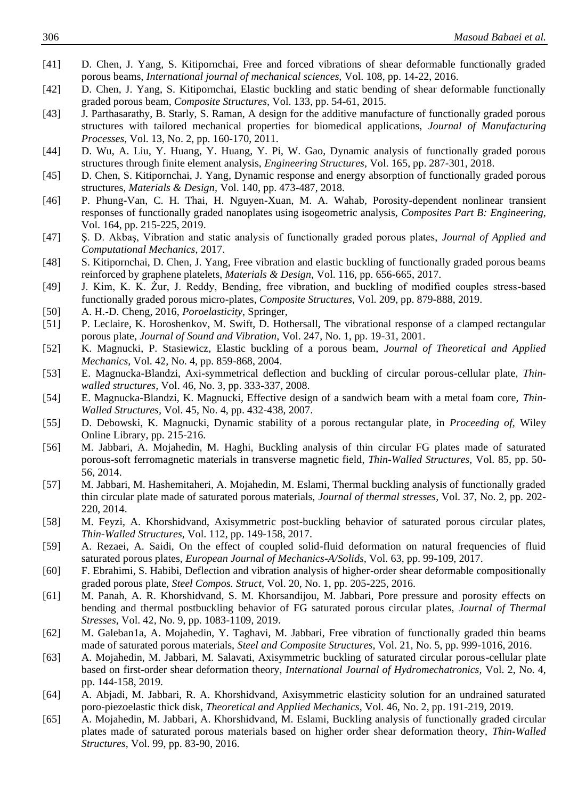- [41] D. Chen, J. Yang, S. Kitipornchai, Free and forced vibrations of shear deformable functionally graded porous beams, *International journal of mechanical sciences,* Vol. 108, pp. 14-22, 2016.
- [42] D. Chen, J. Yang, S. Kitipornchai, Elastic buckling and static bending of shear deformable functionally graded porous beam, *Composite Structures,* Vol. 133, pp. 54-61, 2015.
- [43] J. Parthasarathy, B. Starly, S. Raman, A design for the additive manufacture of functionally graded porous structures with tailored mechanical properties for biomedical applications, *Journal of Manufacturing Processes,* Vol. 13, No. 2, pp. 160-170, 2011.
- [44] D. Wu, A. Liu, Y. Huang, Y. Huang, Y. Pi, W. Gao, Dynamic analysis of functionally graded porous structures through finite element analysis, *Engineering Structures,* Vol. 165, pp. 287-301, 2018.
- [45] D. Chen, S. Kitipornchai, J. Yang, Dynamic response and energy absorption of functionally graded porous structures, *Materials & Design,* Vol. 140, pp. 473-487, 2018.
- [46] P. Phung-Van, C. H. Thai, H. Nguyen-Xuan, M. A. Wahab, Porosity-dependent nonlinear transient responses of functionally graded nanoplates using isogeometric analysis, *Composites Part B: Engineering,* Vol. 164, pp. 215-225, 2019.
- [47] Ş. D. Akbaş, Vibration and static analysis of functionally graded porous plates, *Journal of Applied and Computational Mechanics*, 2017.
- [48] S. Kitipornchai, D. Chen, J. Yang, Free vibration and elastic buckling of functionally graded porous beams reinforced by graphene platelets, *Materials & Design,* Vol. 116, pp. 656-665, 2017.
- [49] J. Kim, K. K. Żur, J. Reddy, Bending, free vibration, and buckling of modified couples stress-based functionally graded porous micro-plates, *Composite Structures,* Vol. 209, pp. 879-888, 2019.
- <span id="page-9-0"></span>[50] A. H.-D. Cheng, 2016, *Poroelasticity*, Springer,
- <span id="page-9-1"></span>[51] P. Leclaire, K. Horoshenkov, M. Swift, D. Hothersall, The vibrational response of a clamped rectangular porous plate, *Journal of Sound and Vibration,* Vol. 247, No. 1, pp. 19-31, 2001.
- <span id="page-9-2"></span>[52] K. Magnucki, P. Stasiewicz, Elastic buckling of a porous beam, *Journal of Theoretical and Applied Mechanics,* Vol. 42, No. 4, pp. 859-868, 2004.
- <span id="page-9-3"></span>[53] E. Magnucka-Blandzi, Axi-symmetrical deflection and buckling of circular porous-cellular plate, *Thinwalled structures,* Vol. 46, No. 3, pp. 333-337, 2008.
- <span id="page-9-4"></span>[54] E. Magnucka-Blandzi, K. Magnucki, Effective design of a sandwich beam with a metal foam core, *Thin-Walled Structures,* Vol. 45, No. 4, pp. 432-438, 2007.
- <span id="page-9-5"></span>[55] D. Debowski, K. Magnucki, Dynamic stability of a porous rectangular plate, in *Proceeding of,* Wiley Online Library*,* pp. 215-216.
- <span id="page-9-6"></span>[56] M. Jabbari, A. Mojahedin, M. Haghi, Buckling analysis of thin circular FG plates made of saturated porous-soft ferromagnetic materials in transverse magnetic field, *Thin-Walled Structures,* Vol. 85, pp. 50- 56, 2014.
- <span id="page-9-7"></span>[57] M. Jabbari, M. Hashemitaheri, A. Mojahedin, M. Eslami, Thermal buckling analysis of functionally graded thin circular plate made of saturated porous materials, *Journal of thermal stresses,* Vol. 37, No. 2, pp. 202- 220, 2014.
- <span id="page-9-8"></span>[58] M. Feyzi, A. Khorshidvand, Axisymmetric post-buckling behavior of saturated porous circular plates, *Thin-Walled Structures,* Vol. 112, pp. 149-158, 2017.
- <span id="page-9-9"></span>[59] A. Rezaei, A. Saidi, On the effect of coupled solid-fluid deformation on natural frequencies of fluid saturated porous plates, *European Journal of Mechanics-A/Solids,* Vol. 63, pp. 99-109, 2017.
- <span id="page-9-10"></span>[60] F. Ebrahimi, S. Habibi, Deflection and vibration analysis of higher-order shear deformable compositionally graded porous plate, *Steel Compos. Struct,* Vol. 20, No. 1, pp. 205-225, 2016.
- <span id="page-9-11"></span>[61] M. Panah, A. R. Khorshidvand, S. M. Khorsandijou, M. Jabbari, Pore pressure and porosity effects on bending and thermal postbuckling behavior of FG saturated porous circular plates, *Journal of Thermal Stresses,* Vol. 42, No. 9, pp. 1083-1109, 2019.
- <span id="page-9-12"></span>[62] M. Galeban1a, A. Mojahedin, Y. Taghavi, M. Jabbari, Free vibration of functionally graded thin beams made of saturated porous materials, *Steel and Composite Structures,* Vol. 21, No. 5, pp. 999-1016, 2016.
- <span id="page-9-13"></span>[63] A. Mojahedin, M. Jabbari, M. Salavati, Axisymmetric buckling of saturated circular porous-cellular plate based on first-order shear deformation theory, *International Journal of Hydromechatronics,* Vol. 2, No. 4, pp. 144-158, 2019.
- <span id="page-9-14"></span>[64] A. Abjadi, M. Jabbari, R. A. Khorshidvand, Axisymmetric elasticity solution for an undrained saturated poro-piezoelastic thick disk, *Theoretical and Applied Mechanics,* Vol. 46, No. 2, pp. 191-219, 2019.
- <span id="page-9-15"></span>[65] A. Mojahedin, M. Jabbari, A. Khorshidvand, M. Eslami, Buckling analysis of functionally graded circular plates made of saturated porous materials based on higher order shear deformation theory, *Thin-Walled Structures,* Vol. 99, pp. 83-90, 2016.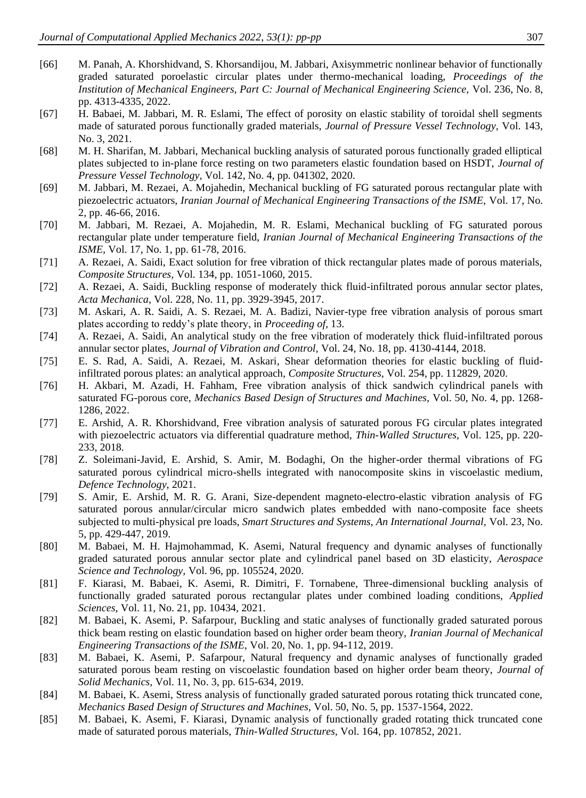- <span id="page-10-0"></span>[66] M. Panah, A. Khorshidvand, S. Khorsandijou, M. Jabbari, Axisymmetric nonlinear behavior of functionally graded saturated poroelastic circular plates under thermo-mechanical loading, *Proceedings of the Institution of Mechanical Engineers, Part C: Journal of Mechanical Engineering Science,* Vol. 236, No. 8, pp. 4313-4335, 2022.
- <span id="page-10-1"></span>[67] H. Babaei, M. Jabbari, M. R. Eslami, The effect of porosity on elastic stability of toroidal shell segments made of saturated porous functionally graded materials, *Journal of Pressure Vessel Technology,* Vol. 143, No. 3, 2021.
- <span id="page-10-2"></span>[68] M. H. Sharifan, M. Jabbari, Mechanical buckling analysis of saturated porous functionally graded elliptical plates subjected to in-plane force resting on two parameters elastic foundation based on HSDT, *Journal of Pressure Vessel Technology,* Vol. 142, No. 4, pp. 041302, 2020.
- <span id="page-10-3"></span>[69] M. Jabbari, M. Rezaei, A. Mojahedin, Mechanical buckling of FG saturated porous rectangular plate with piezoelectric actuators, *Iranian Journal of Mechanical Engineering Transactions of the ISME,* Vol. 17, No. 2, pp. 46-66, 2016.
- <span id="page-10-4"></span>[70] M. Jabbari, M. Rezaei, A. Mojahedin, M. R. Eslami, Mechanical buckling of FG saturated porous rectangular plate under temperature field, *Iranian Journal of Mechanical Engineering Transactions of the ISME,* Vol. 17, No. 1, pp. 61-78, 2016.
- <span id="page-10-5"></span>[71] A. Rezaei, A. Saidi, Exact solution for free vibration of thick rectangular plates made of porous materials, *Composite Structures,* Vol. 134, pp. 1051-1060, 2015.
- <span id="page-10-6"></span>[72] A. Rezaei, A. Saidi, Buckling response of moderately thick fluid-infiltrated porous annular sector plates, *Acta Mechanica,* Vol. 228, No. 11, pp. 3929-3945, 2017.
- <span id="page-10-7"></span>[73] M. Askari, A. R. Saidi, A. S. Rezaei, M. A. Badizi, Navier-type free vibration analysis of porous smart plates according to reddy's plate theory, in *Proceeding of,* 13.
- <span id="page-10-8"></span>[74] A. Rezaei, A. Saidi, An analytical study on the free vibration of moderately thick fluid-infiltrated porous annular sector plates, *Journal of Vibration and Control,* Vol. 24, No. 18, pp. 4130-4144, 2018.
- <span id="page-10-9"></span>[75] E. S. Rad, A. Saidi, A. Rezaei, M. Askari, Shear deformation theories for elastic buckling of fluidinfiltrated porous plates: an analytical approach, *Composite Structures,* Vol. 254, pp. 112829, 2020.
- <span id="page-10-10"></span>[76] H. Akbari, M. Azadi, H. Fahham, Free vibration analysis of thick sandwich cylindrical panels with saturated FG-porous core, *Mechanics Based Design of Structures and Machines,* Vol. 50, No. 4, pp. 1268- 1286, 2022.
- <span id="page-10-11"></span>[77] E. Arshid, A. R. Khorshidvand, Free vibration analysis of saturated porous FG circular plates integrated with piezoelectric actuators via differential quadrature method, *Thin-Walled Structures,* Vol. 125, pp. 220- 233, 2018.
- <span id="page-10-12"></span>[78] Z. Soleimani-Javid, E. Arshid, S. Amir, M. Bodaghi, On the higher-order thermal vibrations of FG saturated porous cylindrical micro-shells integrated with nanocomposite skins in viscoelastic medium, *Defence Technology*, 2021.
- <span id="page-10-13"></span>[79] S. Amir, E. Arshid, M. R. G. Arani, Size-dependent magneto-electro-elastic vibration analysis of FG saturated porous annular/circular micro sandwich plates embedded with nano-composite face sheets subjected to multi-physical pre loads, *Smart Structures and Systems, An International Journal,* Vol. 23, No. 5, pp. 429-447, 2019.
- <span id="page-10-14"></span>[80] M. Babaei, M. H. Hajmohammad, K. Asemi, Natural frequency and dynamic analyses of functionally graded saturated porous annular sector plate and cylindrical panel based on 3D elasticity, *Aerospace Science and Technology,* Vol. 96, pp. 105524, 2020.
- <span id="page-10-15"></span>[81] F. Kiarasi, M. Babaei, K. Asemi, R. Dimitri, F. Tornabene, Three-dimensional buckling analysis of functionally graded saturated porous rectangular plates under combined loading conditions, *Applied Sciences,* Vol. 11, No. 21, pp. 10434, 2021.
- <span id="page-10-16"></span>[82] M. Babaei, K. Asemi, P. Safarpour, Buckling and static analyses of functionally graded saturated porous thick beam resting on elastic foundation based on higher order beam theory, *Iranian Journal of Mechanical Engineering Transactions of the ISME,* Vol. 20, No. 1, pp. 94-112, 2019.
- <span id="page-10-17"></span>[83] M. Babaei, K. Asemi, P. Safarpour, Natural frequency and dynamic analyses of functionally graded saturated porous beam resting on viscoelastic foundation based on higher order beam theory, *Journal of Solid Mechanics,* Vol. 11, No. 3, pp. 615-634, 2019.
- <span id="page-10-18"></span>[84] M. Babaei, K. Asemi, Stress analysis of functionally graded saturated porous rotating thick truncated cone, *Mechanics Based Design of Structures and Machines,* Vol. 50, No. 5, pp. 1537-1564, 2022.
- <span id="page-10-19"></span>[85] M. Babaei, K. Asemi, F. Kiarasi, Dynamic analysis of functionally graded rotating thick truncated cone made of saturated porous materials, *Thin-Walled Structures,* Vol. 164, pp. 107852, 2021.